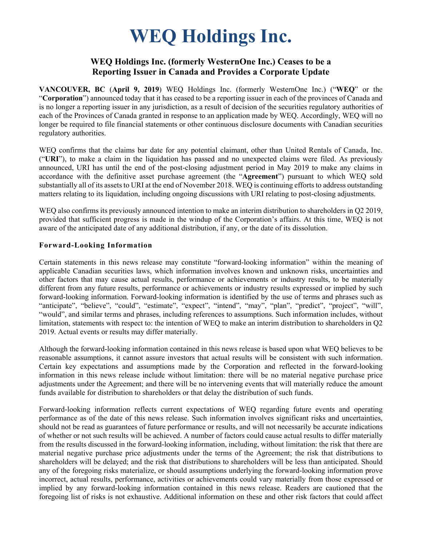# **WEQ Holdings Inc.**

## **WEQ Holdings Inc. (formerly WesternOne Inc.) Ceases to be a Reporting Issuer in Canada and Provides a Corporate Update**

**VANCOUVER, BC** (**April 9, 2019**) WEQ Holdings Inc. (formerly WesternOne Inc.) ("**WEQ**" or the "**Corporation**") announced today that it has ceased to be a reporting issuer in each of the provinces of Canada and is no longer a reporting issuer in any jurisdiction, as a result of decision of the securities regulatory authorities of each of the Provinces of Canada granted in response to an application made by WEQ. Accordingly, WEQ will no longer be required to file financial statements or other continuous disclosure documents with Canadian securities regulatory authorities.

WEQ confirms that the claims bar date for any potential claimant, other than United Rentals of Canada, Inc. ("**URI**"), to make a claim in the liquidation has passed and no unexpected claims were filed. As previously announced, URI has until the end of the post-closing adjustment period in May 2019 to make any claims in accordance with the definitive asset purchase agreement (the "**Agreement**") pursuant to which WEQ sold substantially all of its assets to URI at the end of November 2018. WEQ is continuing efforts to address outstanding matters relating to its liquidation, including ongoing discussions with URI relating to post-closing adjustments.

WEO also confirms its previously announced intention to make an interim distribution to shareholders in O2 2019, provided that sufficient progress is made in the windup of the Corporation's affairs. At this time, WEQ is not aware of the anticipated date of any additional distribution, if any, or the date of its dissolution.

#### **Forward-Looking Information**

Certain statements in this news release may constitute "forward-looking information" within the meaning of applicable Canadian securities laws, which information involves known and unknown risks, uncertainties and other factors that may cause actual results, performance or achievements or industry results, to be materially different from any future results, performance or achievements or industry results expressed or implied by such forward-looking information. Forward-looking information is identified by the use of terms and phrases such as "anticipate", "believe", "could", "estimate", "expect", "intend", "may", "plan", "predict", "project", "will", "would", and similar terms and phrases, including references to assumptions. Such information includes, without limitation, statements with respect to: the intention of WEQ to make an interim distribution to shareholders in Q2 2019. Actual events or results may differ materially.

Although the forward-looking information contained in this news release is based upon what WEQ believes to be reasonable assumptions, it cannot assure investors that actual results will be consistent with such information. Certain key expectations and assumptions made by the Corporation and reflected in the forward-looking information in this news release include without limitation: there will be no material negative purchase price adjustments under the Agreement; and there will be no intervening events that will materially reduce the amount funds available for distribution to shareholders or that delay the distribution of such funds.

Forward-looking information reflects current expectations of WEQ regarding future events and operating performance as of the date of this news release. Such information involves significant risks and uncertainties, should not be read as guarantees of future performance or results, and will not necessarily be accurate indications of whether or not such results will be achieved. A number of factors could cause actual results to differ materially from the results discussed in the forward-looking information, including, without limitation: the risk that there are material negative purchase price adjustments under the terms of the Agreement; the risk that distributions to shareholders will be delayed; and the risk that distributions to shareholders will be less than anticipated. Should any of the foregoing risks materialize, or should assumptions underlying the forward-looking information prove incorrect, actual results, performance, activities or achievements could vary materially from those expressed or implied by any forward-looking information contained in this news release. Readers are cautioned that the foregoing list of risks is not exhaustive. Additional information on these and other risk factors that could affect